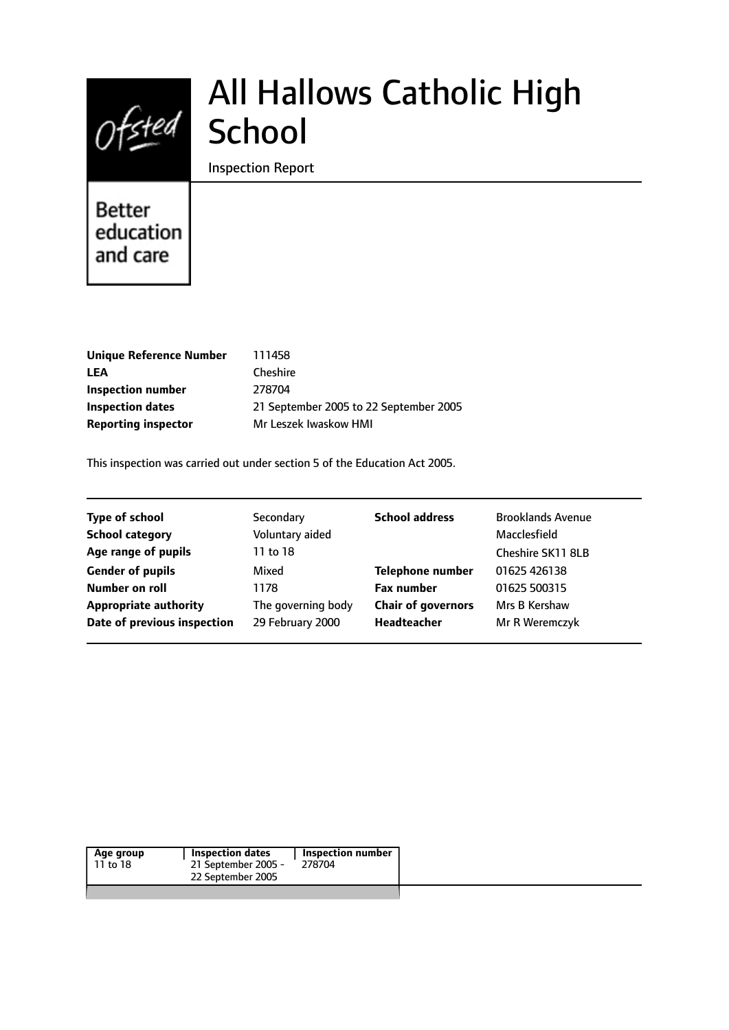# Ofsted School

# All Hallows Catholic High

#### Inspection Report

## Better education and care

| <b>Unique Reference Number</b> | 111458                                 |
|--------------------------------|----------------------------------------|
| LEA                            | Cheshire                               |
| Inspection number              | 278704                                 |
| Inspection dates               | 21 September 2005 to 22 September 2005 |
| <b>Reporting inspector</b>     | Mr Leszek Iwaskow HMI                  |

This inspection was carried out under section 5 of the Education Act 2005.

| <b>Type of school</b>        | Secondary          | <b>School address</b>     | <b>Brooklands Avenue</b> |
|------------------------------|--------------------|---------------------------|--------------------------|
| <b>School category</b>       | Voluntary aided    |                           | Macclesfield             |
| Age range of pupils          | 11 to 18           |                           | Cheshire SK11 8LB        |
| <b>Gender of pupils</b>      | Mixed              | <b>Telephone number</b>   | 01625 426138             |
| Number on roll               | 1178               | <b>Fax number</b>         | 01625 500315             |
| <b>Appropriate authority</b> | The governing body | <b>Chair of governors</b> | Mrs B Kershaw            |
| Date of previous inspection  | 29 February 2000   | Headteacher               | Mr R Weremczyk           |
|                              |                    |                           |                          |

| Inspection number<br><b>Inspection dates</b><br>21 September 2005 -<br>278704 | Age group<br>11 to 18 |
|-------------------------------------------------------------------------------|-----------------------|
| 22 September 2005                                                             |                       |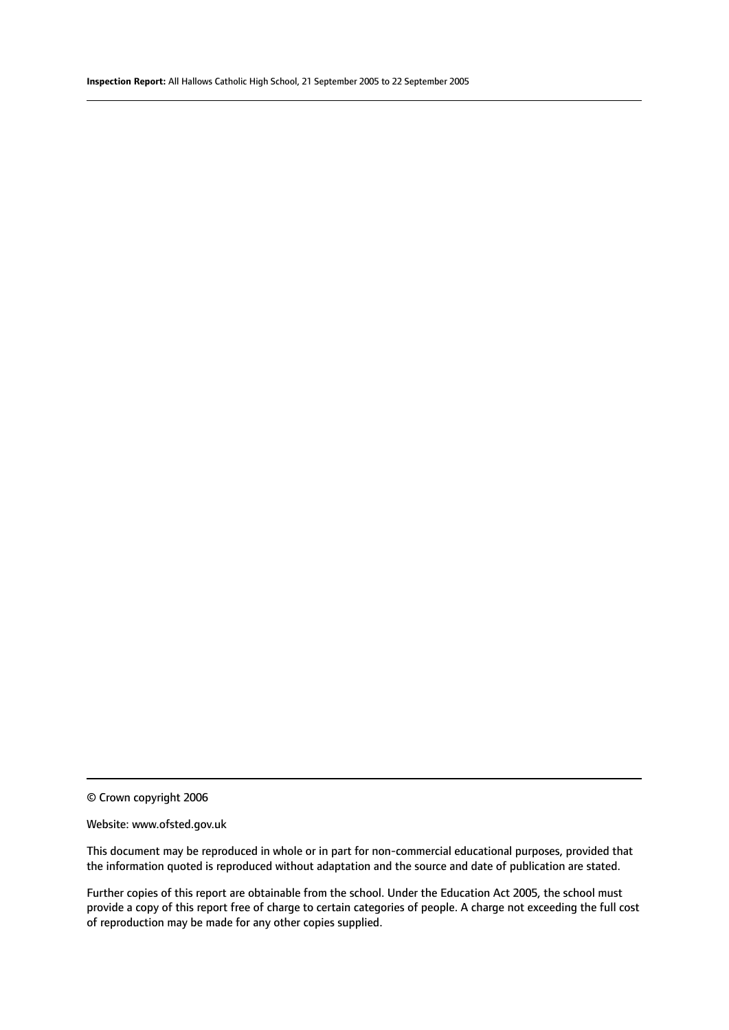#### Website: www.ofsted.gov.uk

This document may be reproduced in whole or in part for non-commercial educational purposes, provided that the information quoted is reproduced without adaptation and the source and date of publication are stated.

Further copies of this report are obtainable from the school. Under the Education Act 2005, the school must provide a copy of this report free of charge to certain categories of people. A charge not exceeding the full cost of reproduction may be made for any other copies supplied.

<sup>©</sup> Crown copyright 2006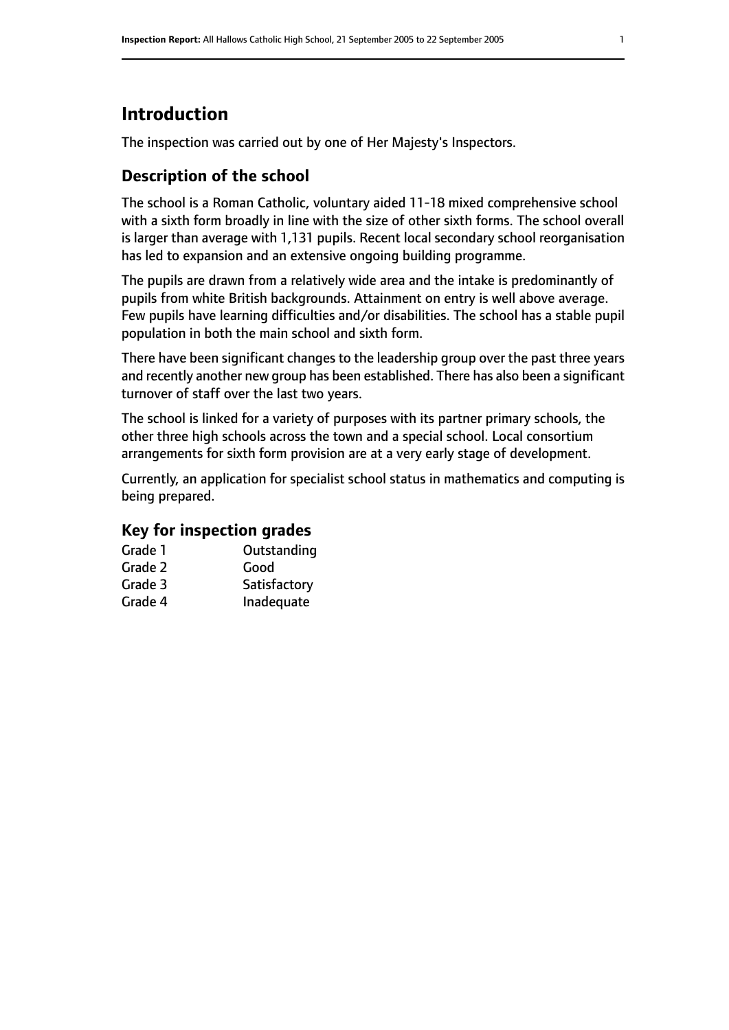## **Introduction**

The inspection was carried out by one of Her Majesty's Inspectors.

## **Description of the school**

The school is a Roman Catholic, voluntary aided 11-18 mixed comprehensive school with a sixth form broadly in line with the size of other sixth forms. The school overall is larger than average with 1,131 pupils. Recent local secondary school reorganisation has led to expansion and an extensive ongoing building programme.

The pupils are drawn from a relatively wide area and the intake is predominantly of pupils from white British backgrounds. Attainment on entry is well above average. Few pupils have learning difficulties and/or disabilities. The school has a stable pupil population in both the main school and sixth form.

There have been significant changes to the leadership group over the past three years and recently another new group has been established. There has also been a significant turnover of staff over the last two years.

The school is linked for a variety of purposes with its partner primary schools, the other three high schools across the town and a special school. Local consortium arrangements for sixth form provision are at a very early stage of development.

Currently, an application for specialist school status in mathematics and computing is being prepared.

#### **Key for inspection grades**

| Grade 1 | Outstanding  |
|---------|--------------|
| Grade 2 | Good         |
| Grade 3 | Satisfactory |
| Grade 4 | Inadequate   |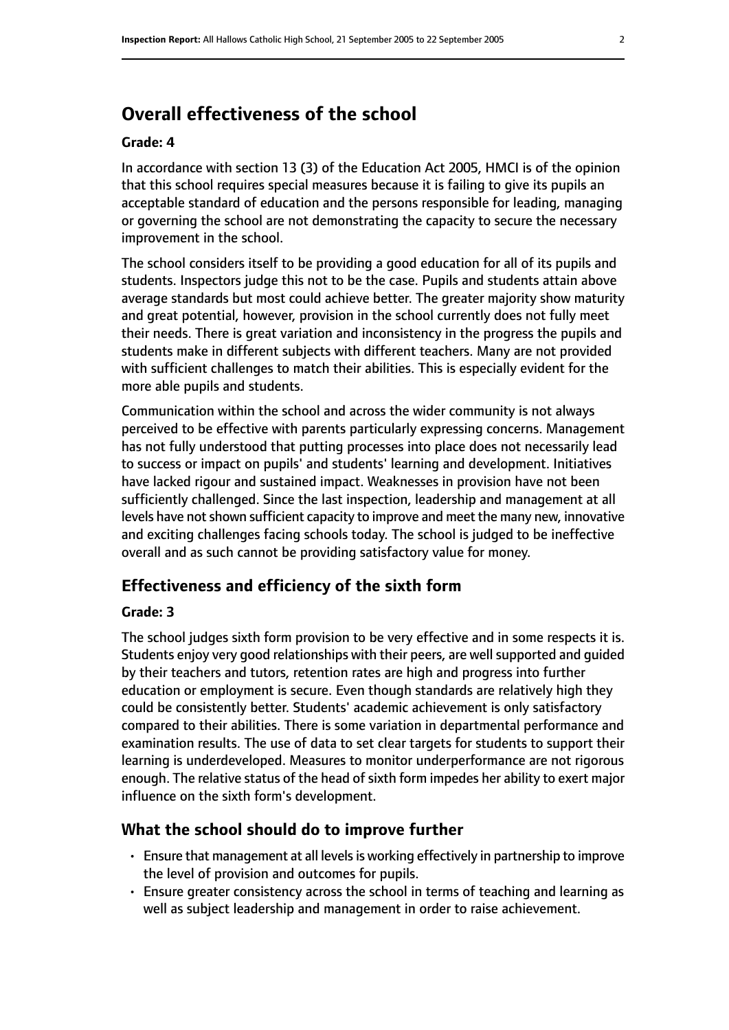## **Overall effectiveness of the school**

#### **Grade: 4**

In accordance with section 13 (3) of the Education Act 2005, HMCI is of the opinion that this school requires special measures because it is failing to give its pupils an acceptable standard of education and the persons responsible for leading, managing or governing the school are not demonstrating the capacity to secure the necessary improvement in the school.

The school considers itself to be providing a good education for all of its pupils and students. Inspectors judge this not to be the case. Pupils and students attain above average standards but most could achieve better. The greater majority show maturity and great potential, however, provision in the school currently does not fully meet their needs. There is great variation and inconsistency in the progress the pupils and students make in different subjects with different teachers. Many are not provided with sufficient challenges to match their abilities. This is especially evident for the more able pupils and students.

Communication within the school and across the wider community is not always perceived to be effective with parents particularly expressing concerns. Management has not fully understood that putting processes into place does not necessarily lead to success or impact on pupils' and students' learning and development. Initiatives have lacked rigour and sustained impact. Weaknesses in provision have not been sufficiently challenged. Since the last inspection, leadership and management at all levels have not shown sufficient capacity to improve and meet the many new, innovative and exciting challenges facing schools today. The school is judged to be ineffective overall and as such cannot be providing satisfactory value for money.

#### **Effectiveness and efficiency of the sixth form**

#### **Grade: 3**

The school judges sixth form provision to be very effective and in some respects it is. Students enjoy very good relationships with their peers, are well supported and guided by their teachers and tutors, retention rates are high and progress into further education or employment is secure. Even though standards are relatively high they could be consistently better. Students' academic achievement is only satisfactory compared to their abilities. There is some variation in departmental performance and examination results. The use of data to set clear targets for students to support their learning is underdeveloped. Measures to monitor underperformance are not rigorous enough. The relative status of the head of sixth form impedes her ability to exert major influence on the sixth form's development.

#### **What the school should do to improve further**

- $\cdot$  Ensure that management at all levels is working effectively in partnership to improve the level of provision and outcomes for pupils.
- Ensure greater consistency across the school in terms of teaching and learning as well as subject leadership and management in order to raise achievement.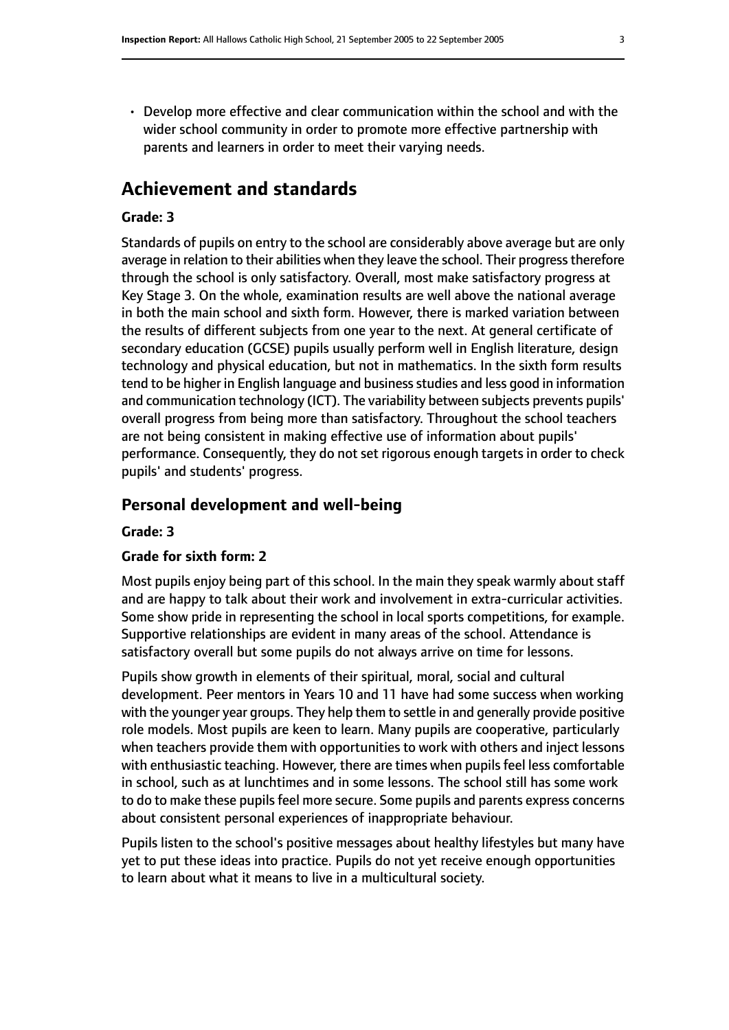• Develop more effective and clear communication within the school and with the wider school community in order to promote more effective partnership with parents and learners in order to meet their varying needs.

### **Achievement and standards**

#### **Grade: 3**

Standards of pupils on entry to the school are considerably above average but are only average in relation to their abilities when they leave the school. Their progress therefore through the school is only satisfactory. Overall, most make satisfactory progress at Key Stage 3. On the whole, examination results are well above the national average in both the main school and sixth form. However, there is marked variation between the results of different subjects from one year to the next. At general certificate of secondary education (GCSE) pupils usually perform well in English literature, design technology and physical education, but not in mathematics. In the sixth form results tend to be higher in English language and business studies and less good in information and communication technology (ICT). The variability between subjects prevents pupils' overall progress from being more than satisfactory. Throughout the school teachers are not being consistent in making effective use of information about pupils' performance. Consequently, they do not set rigorous enough targets in order to check pupils' and students' progress.

#### **Personal development and well-being**

#### **Grade: 3**

#### **Grade for sixth form: 2**

Most pupils enjoy being part of this school. In the main they speak warmly about staff and are happy to talk about their work and involvement in extra-curricular activities. Some show pride in representing the school in local sports competitions, for example. Supportive relationships are evident in many areas of the school. Attendance is satisfactory overall but some pupils do not always arrive on time for lessons.

Pupils show growth in elements of their spiritual, moral, social and cultural development. Peer mentors in Years 10 and 11 have had some success when working with the younger year groups. They help them to settle in and generally provide positive role models. Most pupils are keen to learn. Many pupils are cooperative, particularly when teachers provide them with opportunities to work with others and inject lessons with enthusiastic teaching. However, there are times when pupils feel less comfortable in school, such as at lunchtimes and in some lessons. The school still has some work to do to make these pupils feel more secure. Some pupils and parents express concerns about consistent personal experiences of inappropriate behaviour.

Pupils listen to the school's positive messages about healthy lifestyles but many have yet to put these ideas into practice. Pupils do not yet receive enough opportunities to learn about what it means to live in a multicultural society.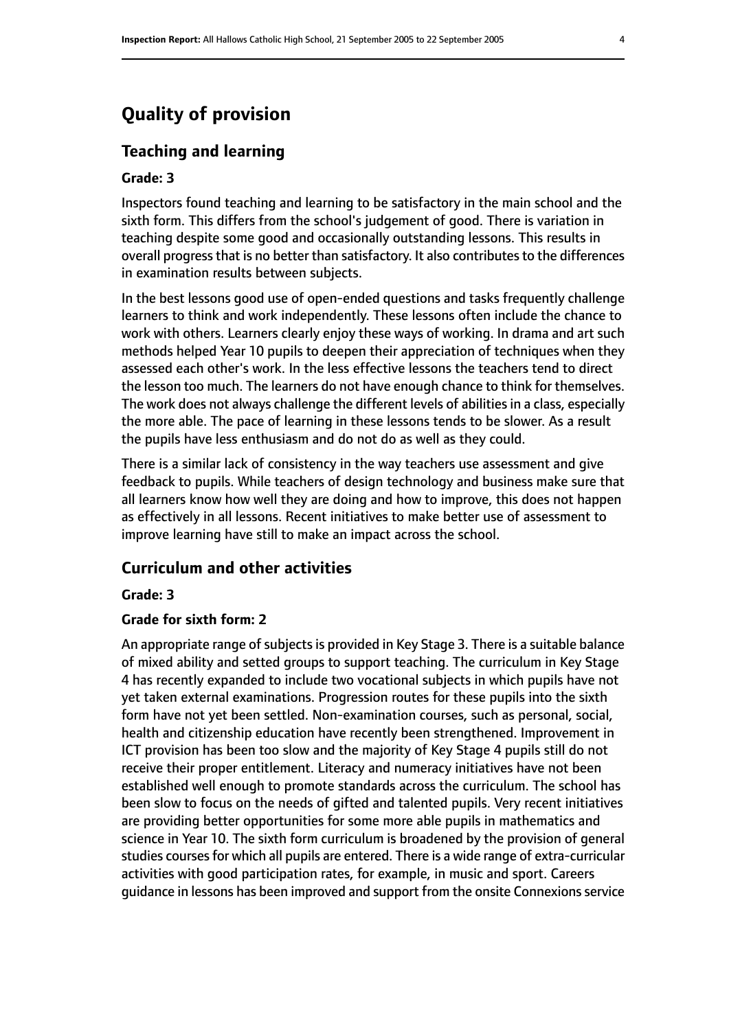## **Quality of provision**

#### **Teaching and learning**

#### **Grade: 3**

Inspectors found teaching and learning to be satisfactory in the main school and the sixth form. This differs from the school's judgement of good. There is variation in teaching despite some good and occasionally outstanding lessons. This results in overall progress that is no better than satisfactory. It also contributes to the differences in examination results between subjects.

In the best lessons good use of open-ended questions and tasks frequently challenge learners to think and work independently. These lessons often include the chance to work with others. Learners clearly enjoy these ways of working. In drama and art such methods helped Year 10 pupils to deepen their appreciation of techniques when they assessed each other's work. In the less effective lessons the teachers tend to direct the lesson too much. The learners do not have enough chance to think for themselves. The work does not always challenge the different levels of abilities in a class, especially the more able. The pace of learning in these lessons tends to be slower. As a result the pupils have less enthusiasm and do not do as well as they could.

There is a similar lack of consistency in the way teachers use assessment and give feedback to pupils. While teachers of design technology and business make sure that all learners know how well they are doing and how to improve, this does not happen as effectively in all lessons. Recent initiatives to make better use of assessment to improve learning have still to make an impact across the school.

#### **Curriculum and other activities**

#### **Grade: 3**

#### **Grade for sixth form: 2**

An appropriate range of subjects is provided in Key Stage 3. There is a suitable balance of mixed ability and setted groups to support teaching. The curriculum in Key Stage 4 has recently expanded to include two vocational subjects in which pupils have not yet taken external examinations. Progression routes for these pupils into the sixth form have not yet been settled. Non-examination courses, such as personal, social, health and citizenship education have recently been strengthened. Improvement in ICT provision has been too slow and the majority of Key Stage 4 pupils still do not receive their proper entitlement. Literacy and numeracy initiatives have not been established well enough to promote standards across the curriculum. The school has been slow to focus on the needs of gifted and talented pupils. Very recent initiatives are providing better opportunities for some more able pupils in mathematics and science in Year 10. The sixth form curriculum is broadened by the provision of general studies courses for which all pupils are entered. There is a wide range of extra-curricular activities with good participation rates, for example, in music and sport. Careers guidance in lessons has been improved and support from the onsite Connexions service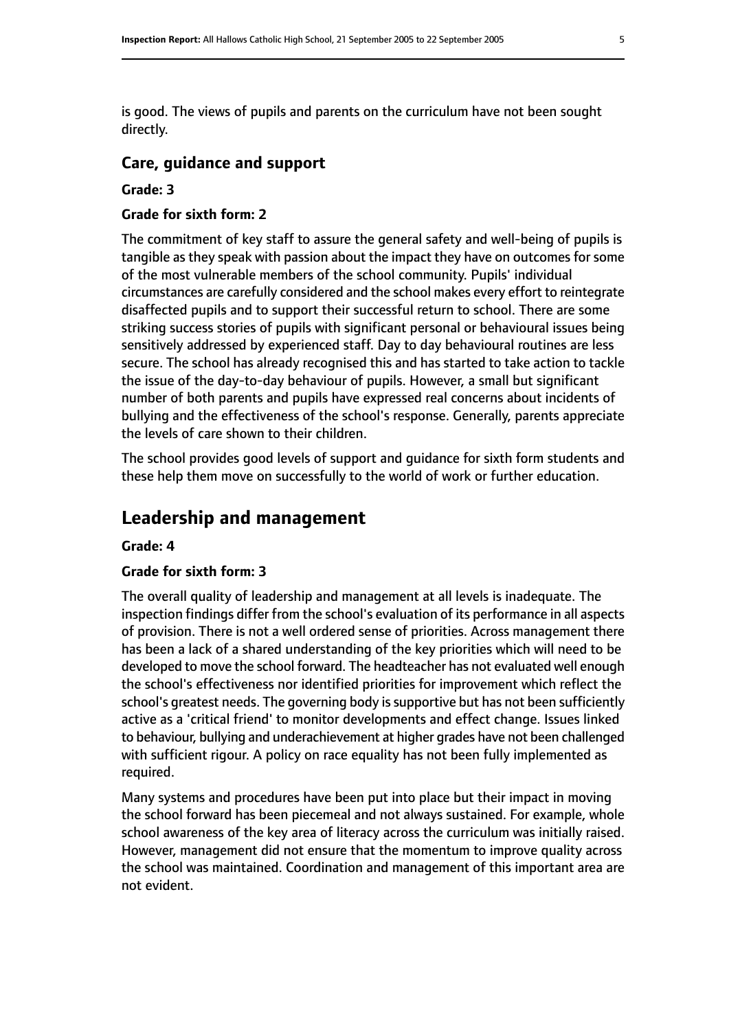is good. The views of pupils and parents on the curriculum have not been sought directly.

#### **Care, guidance and support**

#### **Grade: 3**

#### **Grade for sixth form: 2**

The commitment of key staff to assure the general safety and well-being of pupils is tangible as they speak with passion about the impact they have on outcomes for some of the most vulnerable members of the school community. Pupils' individual circumstances are carefully considered and the school makes every effort to reintegrate disaffected pupils and to support their successful return to school. There are some striking success stories of pupils with significant personal or behavioural issues being sensitively addressed by experienced staff. Day to day behavioural routines are less secure. The school has already recognised this and has started to take action to tackle the issue of the day-to-day behaviour of pupils. However, a small but significant number of both parents and pupils have expressed real concerns about incidents of bullying and the effectiveness of the school's response. Generally, parents appreciate the levels of care shown to their children.

The school provides good levels of support and guidance for sixth form students and these help them move on successfully to the world of work or further education.

## **Leadership and management**

#### **Grade: 4**

#### **Grade for sixth form: 3**

The overall quality of leadership and management at all levels is inadequate. The inspection findings differ from the school's evaluation of its performance in all aspects of provision. There is not a well ordered sense of priorities. Across management there has been a lack of a shared understanding of the key priorities which will need to be developed to move the school forward. The headteacher has not evaluated well enough the school's effectiveness nor identified priorities for improvement which reflect the school's greatest needs. The governing body is supportive but has not been sufficiently active as a 'critical friend' to monitor developments and effect change. Issues linked to behaviour, bullying and underachievement at higher grades have not been challenged with sufficient rigour. A policy on race equality has not been fully implemented as required.

Many systems and procedures have been put into place but their impact in moving the school forward has been piecemeal and not always sustained. For example, whole school awareness of the key area of literacy across the curriculum was initially raised. However, management did not ensure that the momentum to improve quality across the school was maintained. Coordination and management of this important area are not evident.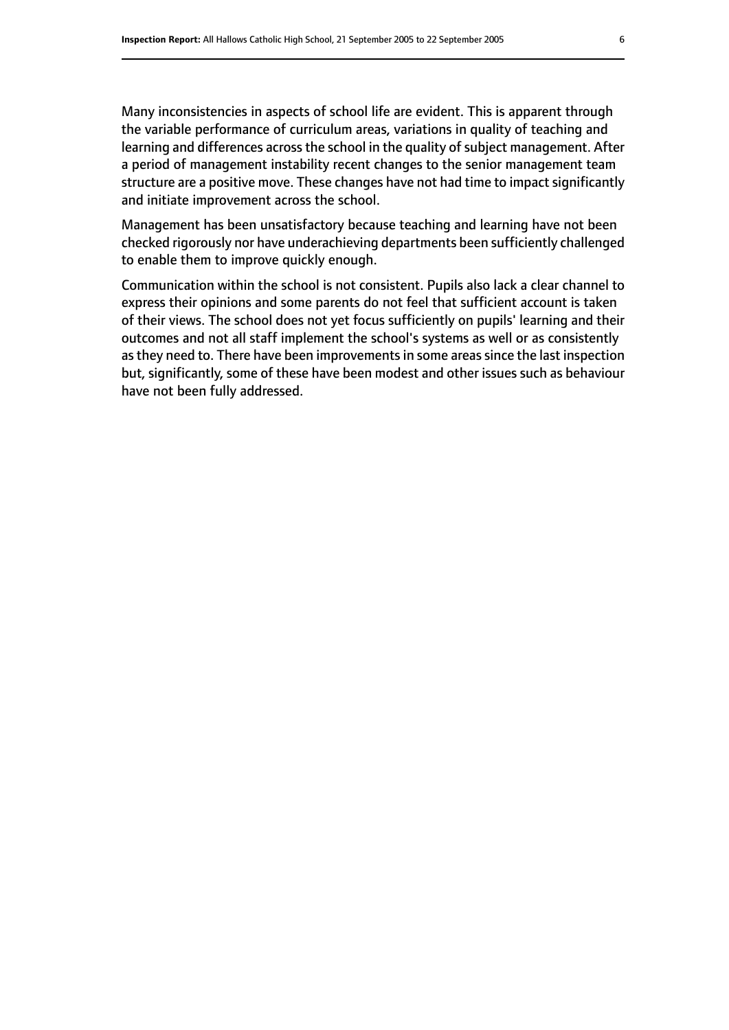Many inconsistencies in aspects of school life are evident. This is apparent through the variable performance of curriculum areas, variations in quality of teaching and learning and differences across the school in the quality of subject management. After a period of management instability recent changes to the senior management team structure are a positive move. These changes have not had time to impact significantly and initiate improvement across the school.

Management has been unsatisfactory because teaching and learning have not been checked rigorously nor have underachieving departments been sufficiently challenged to enable them to improve quickly enough.

Communication within the school is not consistent. Pupils also lack a clear channel to express their opinions and some parents do not feel that sufficient account is taken of their views. The school does not yet focus sufficiently on pupils' learning and their outcomes and not all staff implement the school's systems as well or as consistently as they need to. There have been improvements in some areas since the last inspection but, significantly, some of these have been modest and other issues such as behaviour have not been fully addressed.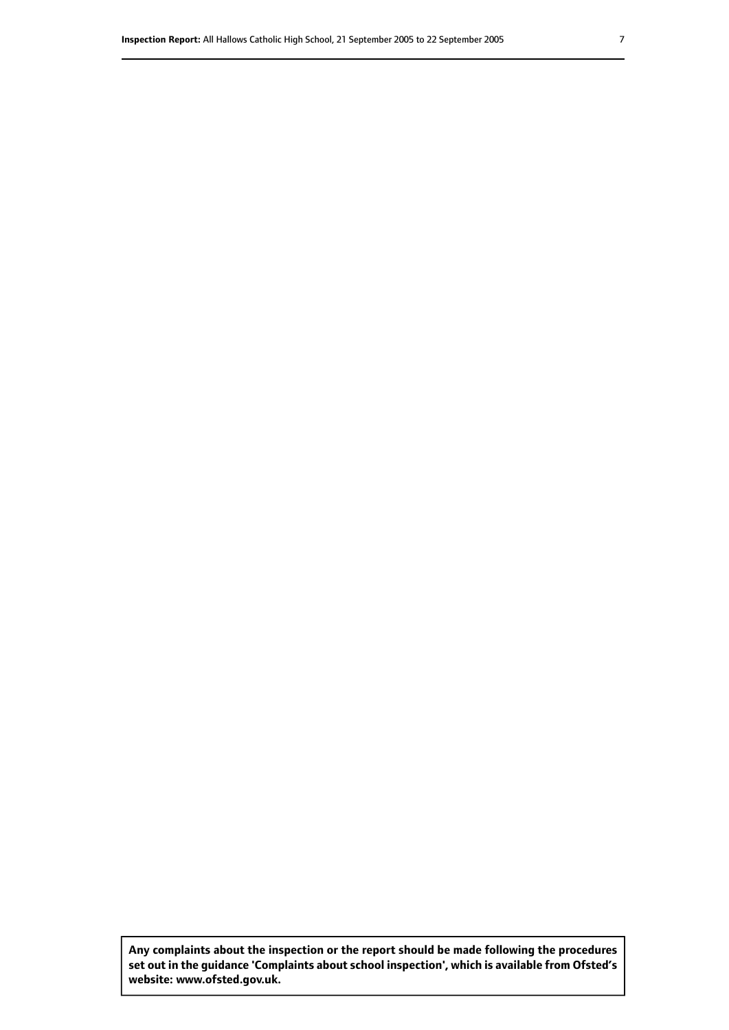**Any complaints about the inspection or the report should be made following the procedures set out inthe guidance 'Complaints about school inspection', whichis available from Ofsted's website: www.ofsted.gov.uk.**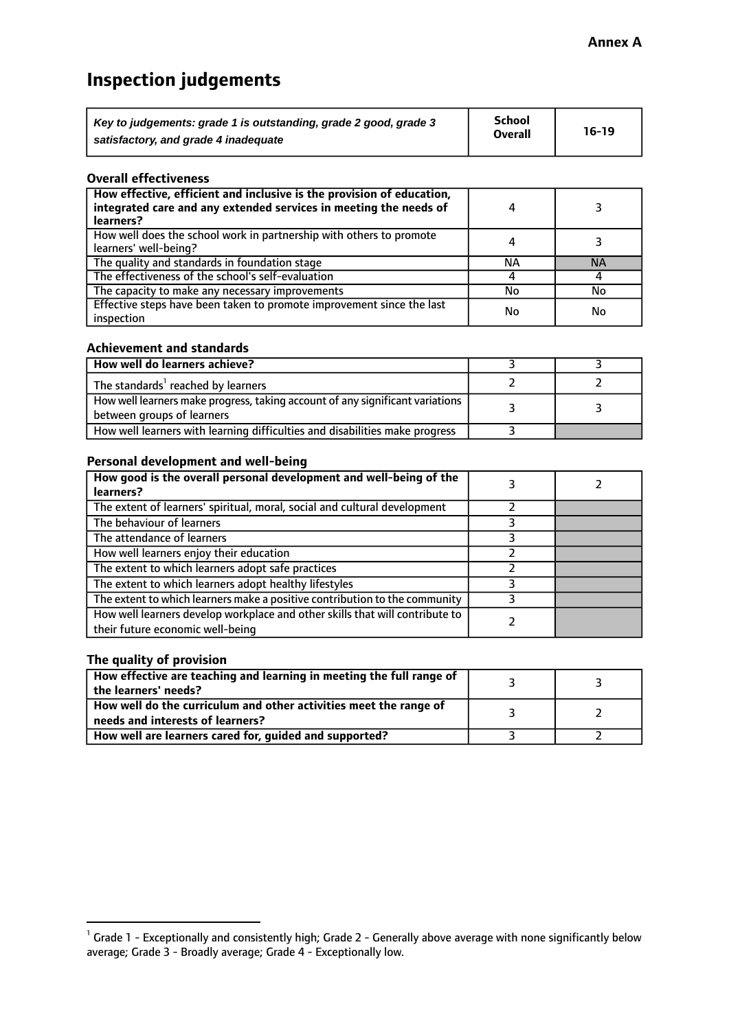## **Inspection judgements**

| Key to judgements: grade 1 is outstanding, grade 2 good, grade 3 | <b>School</b>  | $16-19$ |
|------------------------------------------------------------------|----------------|---------|
| satisfactory, and grade 4 inadequate                             | <b>Overall</b> |         |

#### **Overall effectiveness**

| How effective, efficient and inclusive is the provision of education,<br>integrated care and any extended services in meeting the needs of<br>learners? |    |           |
|---------------------------------------------------------------------------------------------------------------------------------------------------------|----|-----------|
| How well does the school work in partnership with others to promote<br>learners' well-being?                                                            | 4  |           |
| The quality and standards in foundation stage                                                                                                           | ΝA | <b>NA</b> |
| The effectiveness of the school's self-evaluation                                                                                                       |    |           |
| The capacity to make any necessary improvements                                                                                                         | No | No        |
| Effective steps have been taken to promote improvement since the last<br>inspection                                                                     | No | No        |

#### **Achievement and standards**

| How well do learners achieve?                                                                                 |  |
|---------------------------------------------------------------------------------------------------------------|--|
| The standards <sup>1</sup> reached by learners                                                                |  |
| How well learners make progress, taking account of any significant variations  <br>between groups of learners |  |
| How well learners with learning difficulties and disabilities make progress                                   |  |

#### **Personal development and well-being**

| How good is the overall personal development and well-being of the<br>learners?                                  |  |
|------------------------------------------------------------------------------------------------------------------|--|
| The extent of learners' spiritual, moral, social and cultural development                                        |  |
| The behaviour of learners                                                                                        |  |
| The attendance of learners                                                                                       |  |
| How well learners enjoy their education                                                                          |  |
| The extent to which learners adopt safe practices                                                                |  |
| The extent to which learners adopt healthy lifestyles                                                            |  |
| The extent to which learners make a positive contribution to the community                                       |  |
| How well learners develop workplace and other skills that will contribute to<br>their future economic well-being |  |

#### **The quality of provision**

| How effective are teaching and learning in meeting the full range of<br>the learners' needs?          |  |
|-------------------------------------------------------------------------------------------------------|--|
| How well do the curriculum and other activities meet the range of<br>needs and interests of learners? |  |
| How well are learners cared for, guided and supported?                                                |  |

 $^1$  Grade 1 - Exceptionally and consistently high; Grade 2 - Generally above average with none significantly below average; Grade 3 - Broadly average; Grade 4 - Exceptionally low.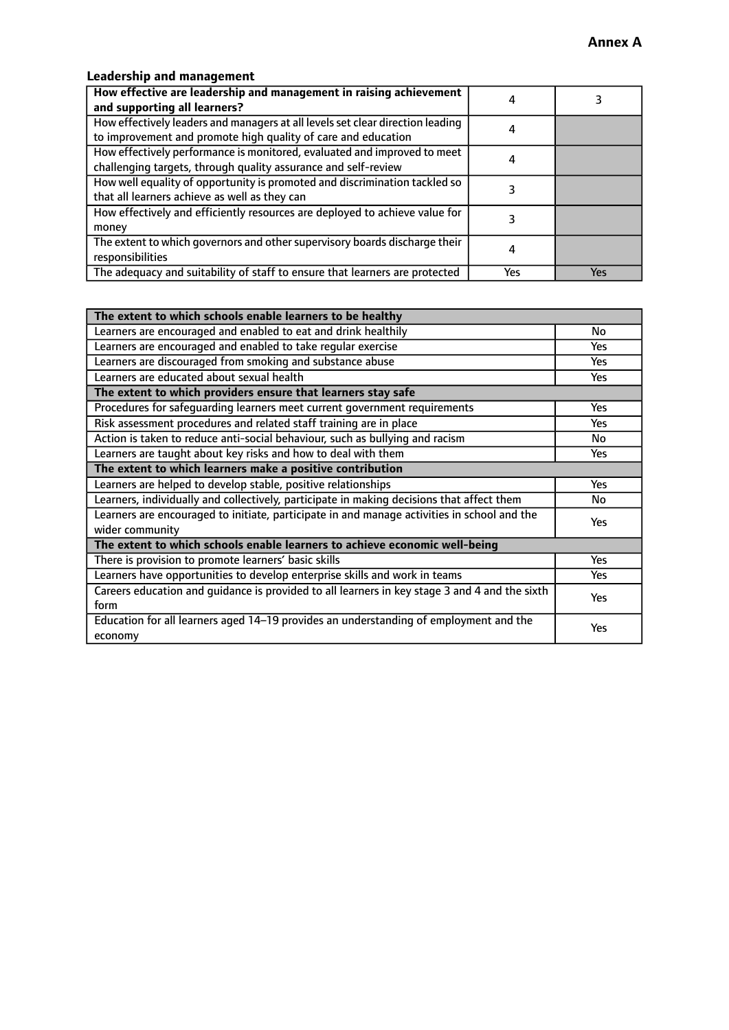### **Leadership and management**

| How effective are leadership and management in raising achievement<br>and supporting all learners?                                              |     |     |
|-------------------------------------------------------------------------------------------------------------------------------------------------|-----|-----|
| How effectively leaders and managers at all levels set clear direction leading<br>to improvement and promote high quality of care and education | 4   |     |
| How effectively performance is monitored, evaluated and improved to meet<br>challenging targets, through quality assurance and self-review      |     |     |
| How well equality of opportunity is promoted and discrimination tackled so<br>that all learners achieve as well as they can                     |     |     |
| How effectively and efficiently resources are deployed to achieve value for<br>money                                                            |     |     |
| The extent to which governors and other supervisory boards discharge their<br>responsibilities                                                  |     |     |
| The adequacy and suitability of staff to ensure that learners are protected                                                                     | Yes | Yes |

| The extent to which schools enable learners to be healthy                                     |            |
|-----------------------------------------------------------------------------------------------|------------|
| Learners are encouraged and enabled to eat and drink healthily                                | No         |
| Learners are encouraged and enabled to take regular exercise                                  | <b>Yes</b> |
| Learners are discouraged from smoking and substance abuse                                     | Yes        |
| Learners are educated about sexual health                                                     | Yes        |
| The extent to which providers ensure that learners stay safe                                  |            |
| Procedures for safeguarding learners meet current government requirements                     | Yes        |
| Risk assessment procedures and related staff training are in place                            | <b>Yes</b> |
| Action is taken to reduce anti-social behaviour, such as bullying and racism                  | No         |
| Learners are taught about key risks and how to deal with them                                 | Yes        |
| The extent to which learners make a positive contribution                                     |            |
| Learners are helped to develop stable, positive relationships                                 | <b>Yes</b> |
| Learners, individually and collectively, participate in making decisions that affect them     |            |
| Learners are encouraged to initiate, participate in and manage activities in school and the   | <b>Yes</b> |
| wider community                                                                               |            |
| The extent to which schools enable learners to achieve economic well-being                    |            |
| There is provision to promote learners' basic skills                                          | Yes        |
| Learners have opportunities to develop enterprise skills and work in teams                    | Yes        |
| Careers education and quidance is provided to all learners in key stage 3 and 4 and the sixth | Yes        |
| form                                                                                          |            |
| Education for all learners aged 14-19 provides an understanding of employment and the         | Yes        |
| economy                                                                                       |            |